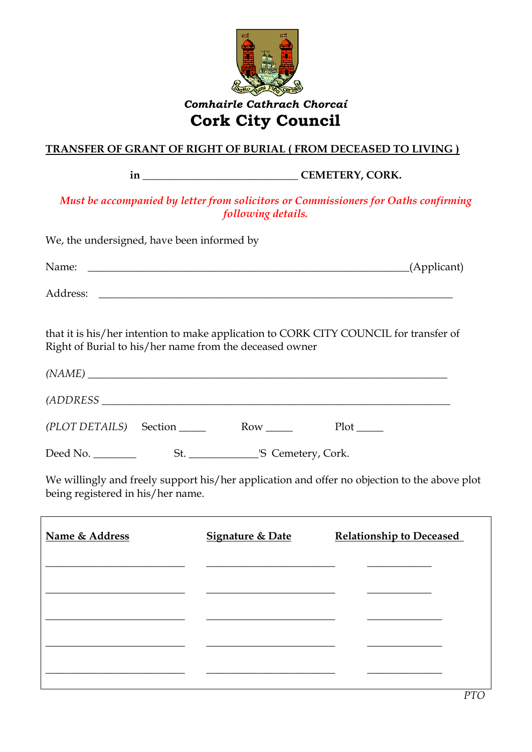

## *Comhairle Cathrach Chorcaí* **Cork City Council**

## **TRANSFER OF GRANT OF RIGHT OF BURIAL ( FROM DECEASED TO LIVING )**

**in \_\_\_\_\_\_\_\_\_\_\_\_\_\_\_\_\_\_\_\_\_\_\_\_\_\_\_\_\_ CEMETERY, CORK.**

*Must be accompanied by letter from solicitors or Commissioners for Oaths confirming following details.*

| We, the undersigned, have been informed by                                                                                                       |                                                                                                                                                                                                                                      |                                                                                                                                                                                                                                      |
|--------------------------------------------------------------------------------------------------------------------------------------------------|--------------------------------------------------------------------------------------------------------------------------------------------------------------------------------------------------------------------------------------|--------------------------------------------------------------------------------------------------------------------------------------------------------------------------------------------------------------------------------------|
| Name:                                                                                                                                            | <u> 1989 - Johann Stoff, deutscher Stoffen und der Stoffen und der Stoffen und der Stoffen und der Stoffen und der Stoffen und der Stoffen und der Stoffen und der Stoffen und der Stoffen und der Stoffen und der Stoffen und d</u> | (Applicant)                                                                                                                                                                                                                          |
|                                                                                                                                                  |                                                                                                                                                                                                                                      |                                                                                                                                                                                                                                      |
| that it is his/her intention to make application to CORK CITY COUNCIL for transfer of<br>Right of Burial to his/her name from the deceased owner |                                                                                                                                                                                                                                      |                                                                                                                                                                                                                                      |
| (NAME)                                                                                                                                           |                                                                                                                                                                                                                                      |                                                                                                                                                                                                                                      |
|                                                                                                                                                  |                                                                                                                                                                                                                                      |                                                                                                                                                                                                                                      |
| (PLOT DETAILS) Section Row                                                                                                                       |                                                                                                                                                                                                                                      | $Plot$ <sub>_____</sub>                                                                                                                                                                                                              |
|                                                                                                                                                  |                                                                                                                                                                                                                                      |                                                                                                                                                                                                                                      |
| being registered in his/her name.                                                                                                                |                                                                                                                                                                                                                                      | We willingly and freely support his/her application and offer no objection to the above plot                                                                                                                                         |
| Name & Address                                                                                                                                   | <b>Signature &amp; Date</b>                                                                                                                                                                                                          | <b>Relationship to Deceased</b>                                                                                                                                                                                                      |
|                                                                                                                                                  |                                                                                                                                                                                                                                      |                                                                                                                                                                                                                                      |
|                                                                                                                                                  | <u> 1989 - Johann John Stein, skriuwer fan it ferskearre fan it ferskearre fan it ferskearre fan it ferskearre fan it ferskearre fan it ferskearre fan it ferskearre fan it ferskearre fan it ferskearre fan it ferskearre fan i</u> | <u> De Carlos de Carlos de Carlos de Carlos de Carlos de Carlos de Carlos de Carlos de Carlos de Carlos de Carlos de Carlos de Carlos de Carlos de Carlos de Carlos de Carlos de Carlos de Carlos de Carlos de Carlos de Carlos </u> |
| <u> 1980 - Andrea Andrew Maria (b. 1980)</u>                                                                                                     | <u> 1989 - Johann Harry Harry Harry Harry Harry Harry Harry Harry Harry Harry Harry Harry Harry Harry Harry Harry Harry Harry Harry Harry Harry Harry Harry Harry Harry Harry Harry Harry Harry Harry Harry Harry Harry Harry Ha</u> |                                                                                                                                                                                                                                      |
|                                                                                                                                                  |                                                                                                                                                                                                                                      |                                                                                                                                                                                                                                      |

\_\_\_\_\_\_\_\_\_\_\_\_\_\_\_\_\_\_\_\_\_\_\_\_\_\_ \_\_\_\_\_\_\_\_\_\_\_\_\_\_\_\_\_\_\_\_\_\_\_\_ \_\_\_\_\_\_\_\_\_\_\_\_\_\_